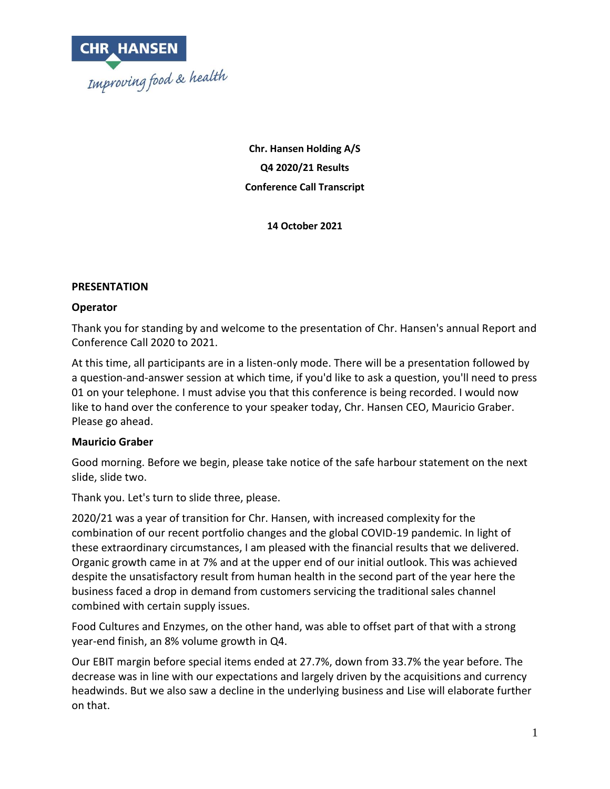

**Chr. Hansen Holding A/S Q4 2020/21 Results Conference Call Transcript**

**14 October 2021**

### **PRESENTATION**

#### **Operator**

Thank you for standing by and welcome to the presentation of Chr. Hansen's annual Report and Conference Call 2020 to 2021.

At this time, all participants are in a listen-only mode. There will be a presentation followed by a question-and-answer session at which time, if you'd like to ask a question, you'll need to press 01 on your telephone. I must advise you that this conference is being recorded. I would now like to hand over the conference to your speaker today, Chr. Hansen CEO, Mauricio Graber. Please go ahead.

### **Mauricio Graber**

Good morning. Before we begin, please take notice of the safe harbour statement on the next slide, slide two.

Thank you. Let's turn to slide three, please.

2020/21 was a year of transition for Chr. Hansen, with increased complexity for the combination of our recent portfolio changes and the global COVID-19 pandemic. In light of these extraordinary circumstances, I am pleased with the financial results that we delivered. Organic growth came in at 7% and at the upper end of our initial outlook. This was achieved despite the unsatisfactory result from human health in the second part of the year here the business faced a drop in demand from customers servicing the traditional sales channel combined with certain supply issues.

Food Cultures and Enzymes, on the other hand, was able to offset part of that with a strong year-end finish, an 8% volume growth in Q4.

Our EBIT margin before special items ended at 27.7%, down from 33.7% the year before. The decrease was in line with our expectations and largely driven by the acquisitions and currency headwinds. But we also saw a decline in the underlying business and Lise will elaborate further on that.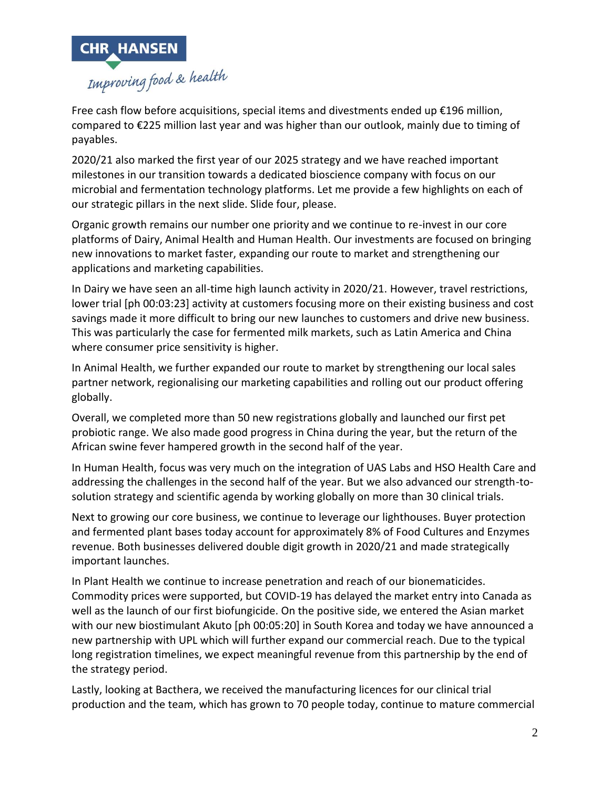

Free cash flow before acquisitions, special items and divestments ended up  $\epsilon$ 196 million, compared to €225 million last year and was higher than our outlook, mainly due to timing of payables.

2020/21 also marked the first year of our 2025 strategy and we have reached important milestones in our transition towards a dedicated bioscience company with focus on our microbial and fermentation technology platforms. Let me provide a few highlights on each of our strategic pillars in the next slide. Slide four, please.

Organic growth remains our number one priority and we continue to re-invest in our core platforms of Dairy, Animal Health and Human Health. Our investments are focused on bringing new innovations to market faster, expanding our route to market and strengthening our applications and marketing capabilities.

In Dairy we have seen an all-time high launch activity in 2020/21. However, travel restrictions, lower trial [ph 00:03:23] activity at customers focusing more on their existing business and cost savings made it more difficult to bring our new launches to customers and drive new business. This was particularly the case for fermented milk markets, such as Latin America and China where consumer price sensitivity is higher.

In Animal Health, we further expanded our route to market by strengthening our local sales partner network, regionalising our marketing capabilities and rolling out our product offering globally.

Overall, we completed more than 50 new registrations globally and launched our first pet probiotic range. We also made good progress in China during the year, but the return of the African swine fever hampered growth in the second half of the year.

In Human Health, focus was very much on the integration of UAS Labs and HSO Health Care and addressing the challenges in the second half of the year. But we also advanced our strength-tosolution strategy and scientific agenda by working globally on more than 30 clinical trials.

Next to growing our core business, we continue to leverage our lighthouses. Buyer protection and fermented plant bases today account for approximately 8% of Food Cultures and Enzymes revenue. Both businesses delivered double digit growth in 2020/21 and made strategically important launches.

In Plant Health we continue to increase penetration and reach of our bionematicides. Commodity prices were supported, but COVID-19 has delayed the market entry into Canada as well as the launch of our first biofungicide. On the positive side, we entered the Asian market with our new biostimulant Akuto [ph 00:05:20] in South Korea and today we have announced a new partnership with UPL which will further expand our commercial reach. Due to the typical long registration timelines, we expect meaningful revenue from this partnership by the end of the strategy period.

Lastly, looking at Bacthera, we received the manufacturing licences for our clinical trial production and the team, which has grown to 70 people today, continue to mature commercial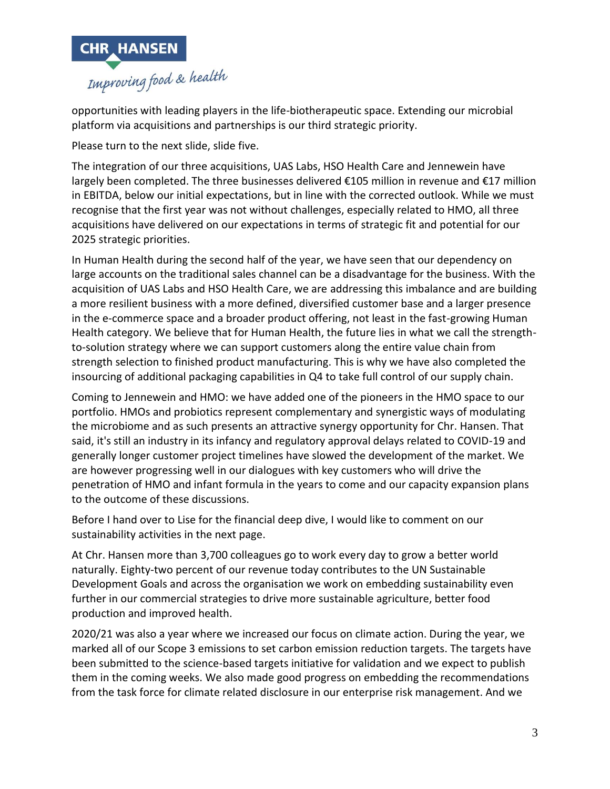

opportunities with leading players in the life-biotherapeutic space. Extending our microbial platform via acquisitions and partnerships is our third strategic priority.

Please turn to the next slide, slide five.

The integration of our three acquisitions, UAS Labs, HSO Health Care and Jennewein have largely been completed. The three businesses delivered €105 million in revenue and €17 million in EBITDA, below our initial expectations, but in line with the corrected outlook. While we must recognise that the first year was not without challenges, especially related to HMO, all three acquisitions have delivered on our expectations in terms of strategic fit and potential for our 2025 strategic priorities.

In Human Health during the second half of the year, we have seen that our dependency on large accounts on the traditional sales channel can be a disadvantage for the business. With the acquisition of UAS Labs and HSO Health Care, we are addressing this imbalance and are building a more resilient business with a more defined, diversified customer base and a larger presence in the e-commerce space and a broader product offering, not least in the fast-growing Human Health category. We believe that for Human Health, the future lies in what we call the strengthto-solution strategy where we can support customers along the entire value chain from strength selection to finished product manufacturing. This is why we have also completed the insourcing of additional packaging capabilities in Q4 to take full control of our supply chain.

Coming to Jennewein and HMO: we have added one of the pioneers in the HMO space to our portfolio. HMOs and probiotics represent complementary and synergistic ways of modulating the microbiome and as such presents an attractive synergy opportunity for Chr. Hansen. That said, it's still an industry in its infancy and regulatory approval delays related to COVID-19 and generally longer customer project timelines have slowed the development of the market. We are however progressing well in our dialogues with key customers who will drive the penetration of HMO and infant formula in the years to come and our capacity expansion plans to the outcome of these discussions.

Before I hand over to Lise for the financial deep dive, I would like to comment on our sustainability activities in the next page.

At Chr. Hansen more than 3,700 colleagues go to work every day to grow a better world naturally. Eighty-two percent of our revenue today contributes to the UN Sustainable Development Goals and across the organisation we work on embedding sustainability even further in our commercial strategies to drive more sustainable agriculture, better food production and improved health.

2020/21 was also a year where we increased our focus on climate action. During the year, we marked all of our Scope 3 emissions to set carbon emission reduction targets. The targets have been submitted to the science-based targets initiative for validation and we expect to publish them in the coming weeks. We also made good progress on embedding the recommendations from the task force for climate related disclosure in our enterprise risk management. And we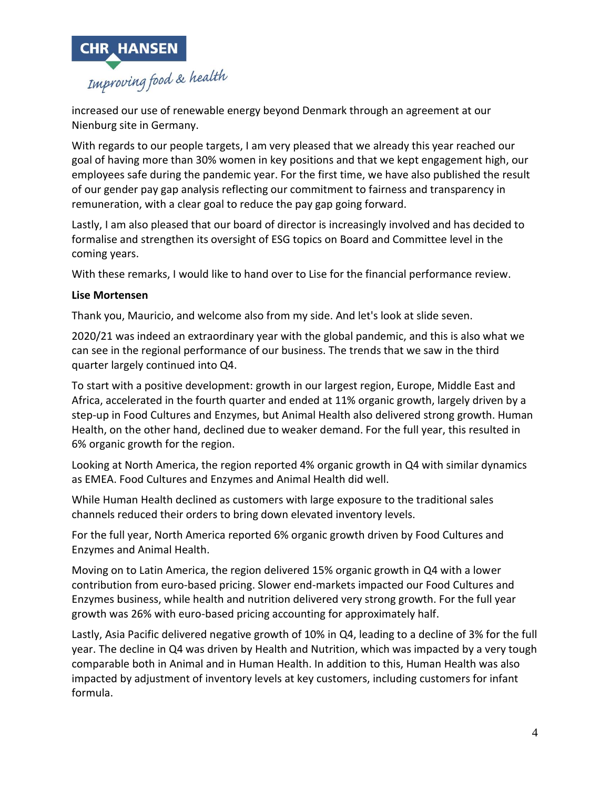

increased our use of renewable energy beyond Denmark through an agreement at our Nienburg site in Germany.

With regards to our people targets, I am very pleased that we already this year reached our goal of having more than 30% women in key positions and that we kept engagement high, our employees safe during the pandemic year. For the first time, we have also published the result of our gender pay gap analysis reflecting our commitment to fairness and transparency in remuneration, with a clear goal to reduce the pay gap going forward.

Lastly, I am also pleased that our board of director is increasingly involved and has decided to formalise and strengthen its oversight of ESG topics on Board and Committee level in the coming years.

With these remarks, I would like to hand over to Lise for the financial performance review.

## **Lise Mortensen**

Thank you, Mauricio, and welcome also from my side. And let's look at slide seven.

2020/21 was indeed an extraordinary year with the global pandemic, and this is also what we can see in the regional performance of our business. The trends that we saw in the third quarter largely continued into Q4.

To start with a positive development: growth in our largest region, Europe, Middle East and Africa, accelerated in the fourth quarter and ended at 11% organic growth, largely driven by a step-up in Food Cultures and Enzymes, but Animal Health also delivered strong growth. Human Health, on the other hand, declined due to weaker demand. For the full year, this resulted in 6% organic growth for the region.

Looking at North America, the region reported 4% organic growth in Q4 with similar dynamics as EMEA. Food Cultures and Enzymes and Animal Health did well.

While Human Health declined as customers with large exposure to the traditional sales channels reduced their orders to bring down elevated inventory levels.

For the full year, North America reported 6% organic growth driven by Food Cultures and Enzymes and Animal Health.

Moving on to Latin America, the region delivered 15% organic growth in Q4 with a lower contribution from euro-based pricing. Slower end-markets impacted our Food Cultures and Enzymes business, while health and nutrition delivered very strong growth. For the full year growth was 26% with euro-based pricing accounting for approximately half.

Lastly, Asia Pacific delivered negative growth of 10% in Q4, leading to a decline of 3% for the full year. The decline in Q4 was driven by Health and Nutrition, which was impacted by a very tough comparable both in Animal and in Human Health. In addition to this, Human Health was also impacted by adjustment of inventory levels at key customers, including customers for infant formula.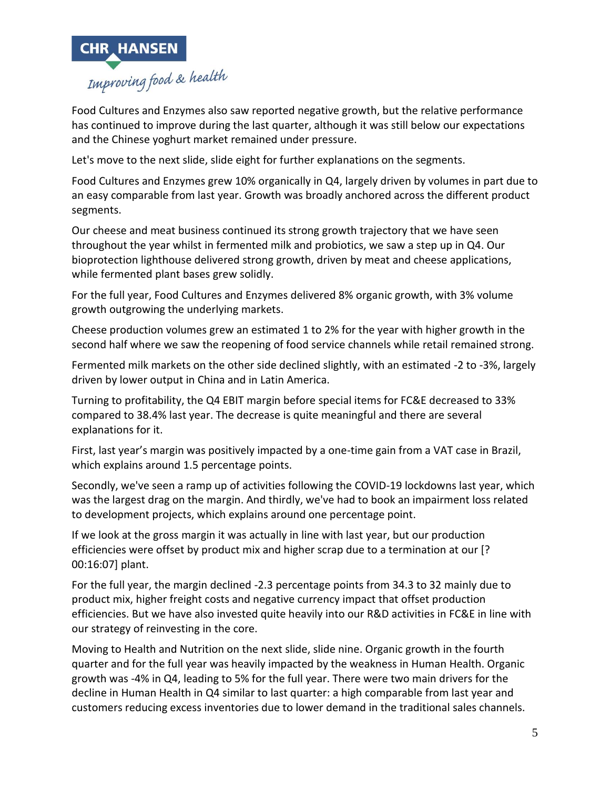

Food Cultures and Enzymes also saw reported negative growth, but the relative performance has continued to improve during the last quarter, although it was still below our expectations and the Chinese yoghurt market remained under pressure.

Let's move to the next slide, slide eight for further explanations on the segments.

Food Cultures and Enzymes grew 10% organically in Q4, largely driven by volumes in part due to an easy comparable from last year. Growth was broadly anchored across the different product segments.

Our cheese and meat business continued its strong growth trajectory that we have seen throughout the year whilst in fermented milk and probiotics, we saw a step up in Q4. Our bioprotection lighthouse delivered strong growth, driven by meat and cheese applications, while fermented plant bases grew solidly.

For the full year, Food Cultures and Enzymes delivered 8% organic growth, with 3% volume growth outgrowing the underlying markets.

Cheese production volumes grew an estimated 1 to 2% for the year with higher growth in the second half where we saw the reopening of food service channels while retail remained strong.

Fermented milk markets on the other side declined slightly, with an estimated -2 to -3%, largely driven by lower output in China and in Latin America.

Turning to profitability, the Q4 EBIT margin before special items for FC&E decreased to 33% compared to 38.4% last year. The decrease is quite meaningful and there are several explanations for it.

First, last year's margin was positively impacted by a one-time gain from a VAT case in Brazil, which explains around 1.5 percentage points.

Secondly, we've seen a ramp up of activities following the COVID-19 lockdowns last year, which was the largest drag on the margin. And thirdly, we've had to book an impairment loss related to development projects, which explains around one percentage point.

If we look at the gross margin it was actually in line with last year, but our production efficiencies were offset by product mix and higher scrap due to a termination at our [? 00:16:07] plant.

For the full year, the margin declined -2.3 percentage points from 34.3 to 32 mainly due to product mix, higher freight costs and negative currency impact that offset production efficiencies. But we have also invested quite heavily into our R&D activities in FC&E in line with our strategy of reinvesting in the core.

Moving to Health and Nutrition on the next slide, slide nine. Organic growth in the fourth quarter and for the full year was heavily impacted by the weakness in Human Health. Organic growth was -4% in Q4, leading to 5% for the full year. There were two main drivers for the decline in Human Health in Q4 similar to last quarter: a high comparable from last year and customers reducing excess inventories due to lower demand in the traditional sales channels.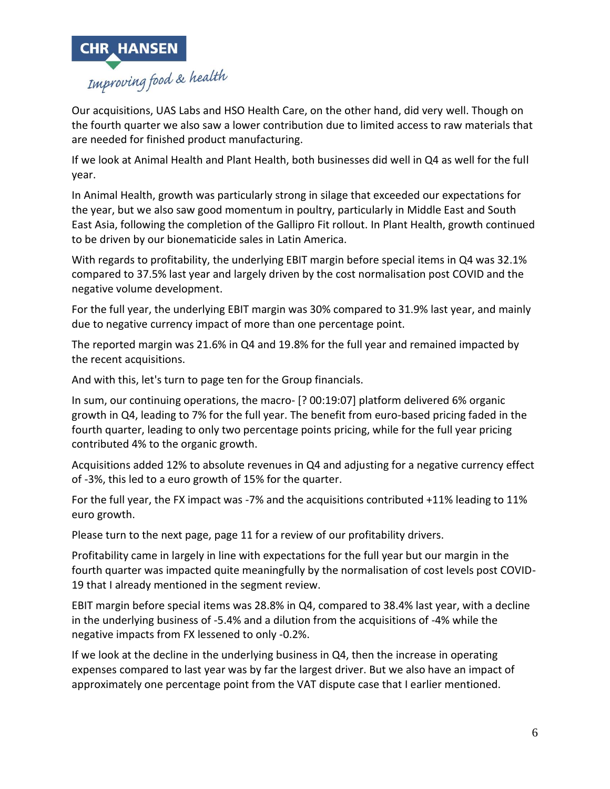

Our acquisitions, UAS Labs and HSO Health Care, on the other hand, did very well. Though on the fourth quarter we also saw a lower contribution due to limited access to raw materials that are needed for finished product manufacturing.

If we look at Animal Health and Plant Health, both businesses did well in Q4 as well for the full year.

In Animal Health, growth was particularly strong in silage that exceeded our expectations for the year, but we also saw good momentum in poultry, particularly in Middle East and South East Asia, following the completion of the Gallipro Fit rollout. In Plant Health, growth continued to be driven by our bionematicide sales in Latin America.

With regards to profitability, the underlying EBIT margin before special items in Q4 was 32.1% compared to 37.5% last year and largely driven by the cost normalisation post COVID and the negative volume development.

For the full year, the underlying EBIT margin was 30% compared to 31.9% last year, and mainly due to negative currency impact of more than one percentage point.

The reported margin was 21.6% in Q4 and 19.8% for the full year and remained impacted by the recent acquisitions.

And with this, let's turn to page ten for the Group financials.

In sum, our continuing operations, the macro- [? 00:19:07] platform delivered 6% organic growth in Q4, leading to 7% for the full year. The benefit from euro-based pricing faded in the fourth quarter, leading to only two percentage points pricing, while for the full year pricing contributed 4% to the organic growth.

Acquisitions added 12% to absolute revenues in Q4 and adjusting for a negative currency effect of -3%, this led to a euro growth of 15% for the quarter.

For the full year, the FX impact was -7% and the acquisitions contributed +11% leading to 11% euro growth.

Please turn to the next page, page 11 for a review of our profitability drivers.

Profitability came in largely in line with expectations for the full year but our margin in the fourth quarter was impacted quite meaningfully by the normalisation of cost levels post COVID-19 that I already mentioned in the segment review.

EBIT margin before special items was 28.8% in Q4, compared to 38.4% last year, with a decline in the underlying business of -5.4% and a dilution from the acquisitions of -4% while the negative impacts from FX lessened to only -0.2%.

If we look at the decline in the underlying business in Q4, then the increase in operating expenses compared to last year was by far the largest driver. But we also have an impact of approximately one percentage point from the VAT dispute case that I earlier mentioned.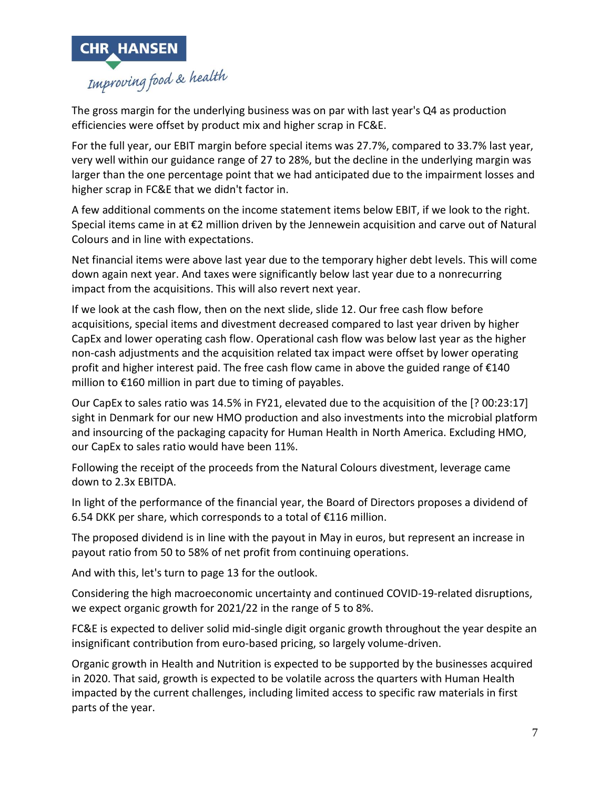

The gross margin for the underlying business was on par with last year's Q4 as production efficiencies were offset by product mix and higher scrap in FC&E.

For the full year, our EBIT margin before special items was 27.7%, compared to 33.7% last year, very well within our guidance range of 27 to 28%, but the decline in the underlying margin was larger than the one percentage point that we had anticipated due to the impairment losses and higher scrap in FC&E that we didn't factor in.

A few additional comments on the income statement items below EBIT, if we look to the right. Special items came in at €2 million driven by the Jennewein acquisition and carve out of Natural Colours and in line with expectations.

Net financial items were above last year due to the temporary higher debt levels. This will come down again next year. And taxes were significantly below last year due to a nonrecurring impact from the acquisitions. This will also revert next year.

If we look at the cash flow, then on the next slide, slide 12. Our free cash flow before acquisitions, special items and divestment decreased compared to last year driven by higher CapEx and lower operating cash flow. Operational cash flow was below last year as the higher non-cash adjustments and the acquisition related tax impact were offset by lower operating profit and higher interest paid. The free cash flow came in above the guided range of €140 million to €160 million in part due to timing of payables.

Our CapEx to sales ratio was 14.5% in FY21, elevated due to the acquisition of the [? 00:23:17] sight in Denmark for our new HMO production and also investments into the microbial platform and insourcing of the packaging capacity for Human Health in North America. Excluding HMO, our CapEx to sales ratio would have been 11%.

Following the receipt of the proceeds from the Natural Colours divestment, leverage came down to 2.3x EBITDA.

In light of the performance of the financial year, the Board of Directors proposes a dividend of 6.54 DKK per share, which corresponds to a total of €116 million.

The proposed dividend is in line with the payout in May in euros, but represent an increase in payout ratio from 50 to 58% of net profit from continuing operations.

And with this, let's turn to page 13 for the outlook.

Considering the high macroeconomic uncertainty and continued COVID-19-related disruptions, we expect organic growth for 2021/22 in the range of 5 to 8%.

FC&E is expected to deliver solid mid-single digit organic growth throughout the year despite an insignificant contribution from euro-based pricing, so largely volume-driven.

Organic growth in Health and Nutrition is expected to be supported by the businesses acquired in 2020. That said, growth is expected to be volatile across the quarters with Human Health impacted by the current challenges, including limited access to specific raw materials in first parts of the year.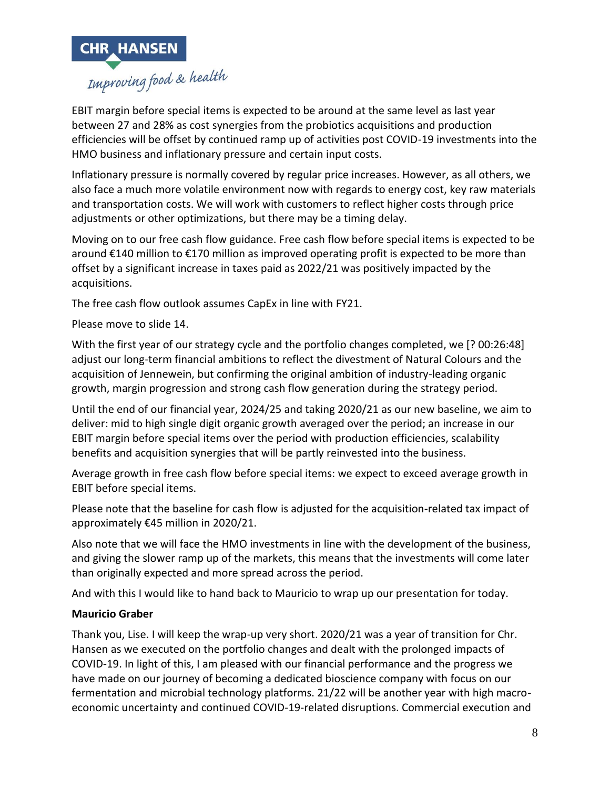

EBIT margin before special items is expected to be around at the same level as last year between 27 and 28% as cost synergies from the probiotics acquisitions and production efficiencies will be offset by continued ramp up of activities post COVID-19 investments into the HMO business and inflationary pressure and certain input costs.

Inflationary pressure is normally covered by regular price increases. However, as all others, we also face a much more volatile environment now with regards to energy cost, key raw materials and transportation costs. We will work with customers to reflect higher costs through price adjustments or other optimizations, but there may be a timing delay.

Moving on to our free cash flow guidance. Free cash flow before special items is expected to be around €140 million to €170 million as improved operating profit is expected to be more than offset by a significant increase in taxes paid as 2022/21 was positively impacted by the acquisitions.

The free cash flow outlook assumes CapEx in line with FY21.

Please move to slide 14.

With the first year of our strategy cycle and the portfolio changes completed, we [? 00:26:48] adjust our long-term financial ambitions to reflect the divestment of Natural Colours and the acquisition of Jennewein, but confirming the original ambition of industry-leading organic growth, margin progression and strong cash flow generation during the strategy period.

Until the end of our financial year, 2024/25 and taking 2020/21 as our new baseline, we aim to deliver: mid to high single digit organic growth averaged over the period; an increase in our EBIT margin before special items over the period with production efficiencies, scalability benefits and acquisition synergies that will be partly reinvested into the business.

Average growth in free cash flow before special items: we expect to exceed average growth in EBIT before special items.

Please note that the baseline for cash flow is adjusted for the acquisition-related tax impact of approximately €45 million in 2020/21.

Also note that we will face the HMO investments in line with the development of the business, and giving the slower ramp up of the markets, this means that the investments will come later than originally expected and more spread across the period.

And with this I would like to hand back to Mauricio to wrap up our presentation for today.

# **Mauricio Graber**

Thank you, Lise. I will keep the wrap-up very short. 2020/21 was a year of transition for Chr. Hansen as we executed on the portfolio changes and dealt with the prolonged impacts of COVID-19. In light of this, I am pleased with our financial performance and the progress we have made on our journey of becoming a dedicated bioscience company with focus on our fermentation and microbial technology platforms. 21/22 will be another year with high macroeconomic uncertainty and continued COVID-19-related disruptions. Commercial execution and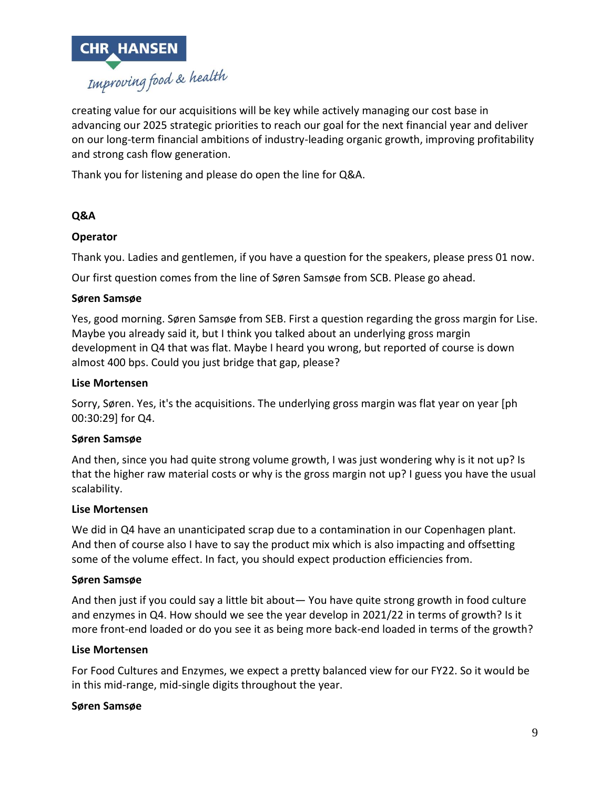

creating value for our acquisitions will be key while actively managing our cost base in advancing our 2025 strategic priorities to reach our goal for the next financial year and deliver on our long-term financial ambitions of industry-leading organic growth, improving profitability and strong cash flow generation.

Thank you for listening and please do open the line for Q&A.

## **Q&A**

### **Operator**

Thank you. Ladies and gentlemen, if you have a question for the speakers, please press 01 now.

Our first question comes from the line of Søren Samsøe from SCB. Please go ahead.

#### **Søren Samsøe**

Yes, good morning. Søren Samsøe from SEB. First a question regarding the gross margin for Lise. Maybe you already said it, but I think you talked about an underlying gross margin development in Q4 that was flat. Maybe I heard you wrong, but reported of course is down almost 400 bps. Could you just bridge that gap, please?

#### **Lise Mortensen**

Sorry, Søren. Yes, it's the acquisitions. The underlying gross margin was flat year on year [ph 00:30:29] for Q4.

#### **Søren Samsøe**

And then, since you had quite strong volume growth, I was just wondering why is it not up? Is that the higher raw material costs or why is the gross margin not up? I guess you have the usual scalability.

#### **Lise Mortensen**

We did in Q4 have an unanticipated scrap due to a contamination in our Copenhagen plant. And then of course also I have to say the product mix which is also impacting and offsetting some of the volume effect. In fact, you should expect production efficiencies from.

#### **Søren Samsøe**

And then just if you could say a little bit about— You have quite strong growth in food culture and enzymes in Q4. How should we see the year develop in 2021/22 in terms of growth? Is it more front-end loaded or do you see it as being more back-end loaded in terms of the growth?

#### **Lise Mortensen**

For Food Cultures and Enzymes, we expect a pretty balanced view for our FY22. So it would be in this mid-range, mid-single digits throughout the year.

#### **Søren Samsøe**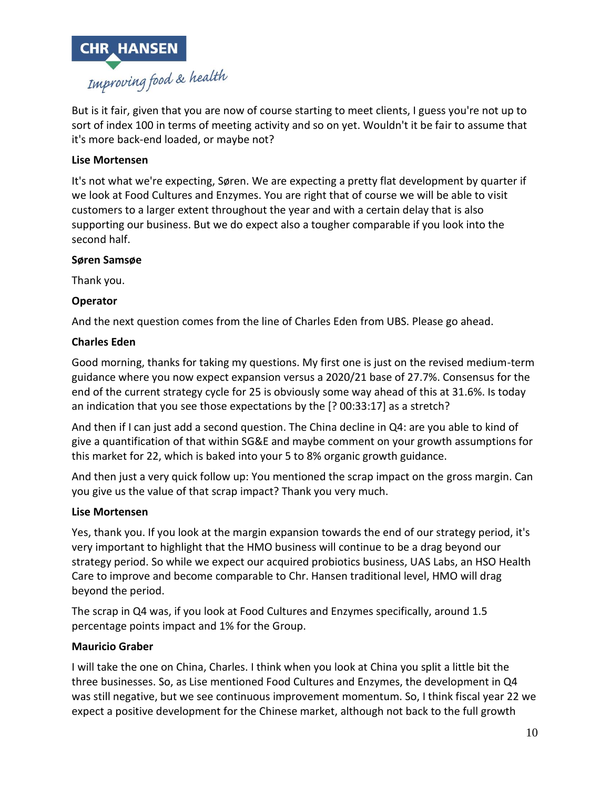

But is it fair, given that you are now of course starting to meet clients, I guess you're not up to sort of index 100 in terms of meeting activity and so on yet. Wouldn't it be fair to assume that it's more back-end loaded, or maybe not?

## **Lise Mortensen**

It's not what we're expecting, Søren. We are expecting a pretty flat development by quarter if we look at Food Cultures and Enzymes. You are right that of course we will be able to visit customers to a larger extent throughout the year and with a certain delay that is also supporting our business. But we do expect also a tougher comparable if you look into the second half.

### **Søren Samsøe**

Thank you.

### **Operator**

And the next question comes from the line of Charles Eden from UBS. Please go ahead.

## **Charles Eden**

Good morning, thanks for taking my questions. My first one is just on the revised medium-term guidance where you now expect expansion versus a 2020/21 base of 27.7%. Consensus for the end of the current strategy cycle for 25 is obviously some way ahead of this at 31.6%. Is today an indication that you see those expectations by the [? 00:33:17] as a stretch?

And then if I can just add a second question. The China decline in Q4: are you able to kind of give a quantification of that within SG&E and maybe comment on your growth assumptions for this market for 22, which is baked into your 5 to 8% organic growth guidance.

And then just a very quick follow up: You mentioned the scrap impact on the gross margin. Can you give us the value of that scrap impact? Thank you very much.

### **Lise Mortensen**

Yes, thank you. If you look at the margin expansion towards the end of our strategy period, it's very important to highlight that the HMO business will continue to be a drag beyond our strategy period. So while we expect our acquired probiotics business, UAS Labs, an HSO Health Care to improve and become comparable to Chr. Hansen traditional level, HMO will drag beyond the period.

The scrap in Q4 was, if you look at Food Cultures and Enzymes specifically, around 1.5 percentage points impact and 1% for the Group.

### **Mauricio Graber**

I will take the one on China, Charles. I think when you look at China you split a little bit the three businesses. So, as Lise mentioned Food Cultures and Enzymes, the development in Q4 was still negative, but we see continuous improvement momentum. So, I think fiscal year 22 we expect a positive development for the Chinese market, although not back to the full growth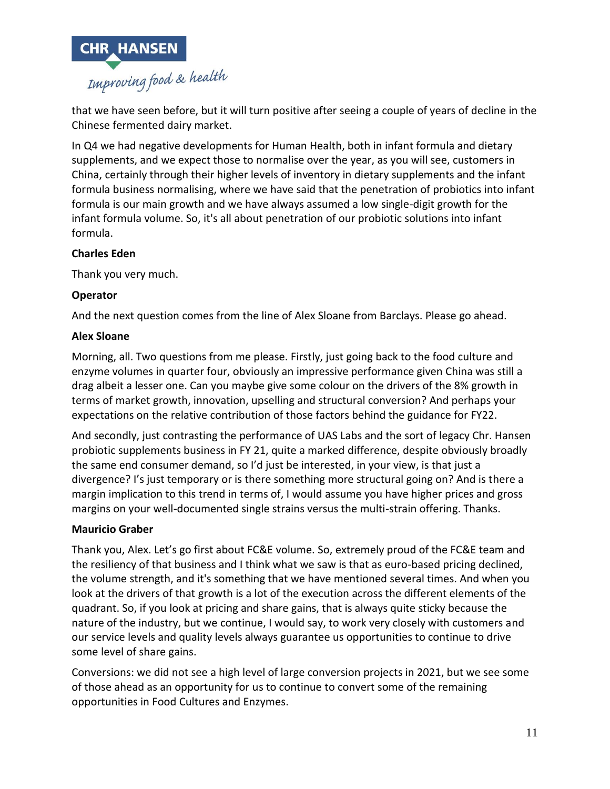

that we have seen before, but it will turn positive after seeing a couple of years of decline in the Chinese fermented dairy market.

In Q4 we had negative developments for Human Health, both in infant formula and dietary supplements, and we expect those to normalise over the year, as you will see, customers in China, certainly through their higher levels of inventory in dietary supplements and the infant formula business normalising, where we have said that the penetration of probiotics into infant formula is our main growth and we have always assumed a low single-digit growth for the infant formula volume. So, it's all about penetration of our probiotic solutions into infant formula.

# **Charles Eden**

Thank you very much.

# **Operator**

And the next question comes from the line of Alex Sloane from Barclays. Please go ahead.

# **Alex Sloane**

Morning, all. Two questions from me please. Firstly, just going back to the food culture and enzyme volumes in quarter four, obviously an impressive performance given China was still a drag albeit a lesser one. Can you maybe give some colour on the drivers of the 8% growth in terms of market growth, innovation, upselling and structural conversion? And perhaps your expectations on the relative contribution of those factors behind the guidance for FY22.

And secondly, just contrasting the performance of UAS Labs and the sort of legacy Chr. Hansen probiotic supplements business in FY 21, quite a marked difference, despite obviously broadly the same end consumer demand, so I'd just be interested, in your view, is that just a divergence? I's just temporary or is there something more structural going on? And is there a margin implication to this trend in terms of, I would assume you have higher prices and gross margins on your well-documented single strains versus the multi-strain offering. Thanks.

# **Mauricio Graber**

Thank you, Alex. Let's go first about FC&E volume. So, extremely proud of the FC&E team and the resiliency of that business and I think what we saw is that as euro-based pricing declined, the volume strength, and it's something that we have mentioned several times. And when you look at the drivers of that growth is a lot of the execution across the different elements of the quadrant. So, if you look at pricing and share gains, that is always quite sticky because the nature of the industry, but we continue, I would say, to work very closely with customers and our service levels and quality levels always guarantee us opportunities to continue to drive some level of share gains.

Conversions: we did not see a high level of large conversion projects in 2021, but we see some of those ahead as an opportunity for us to continue to convert some of the remaining opportunities in Food Cultures and Enzymes.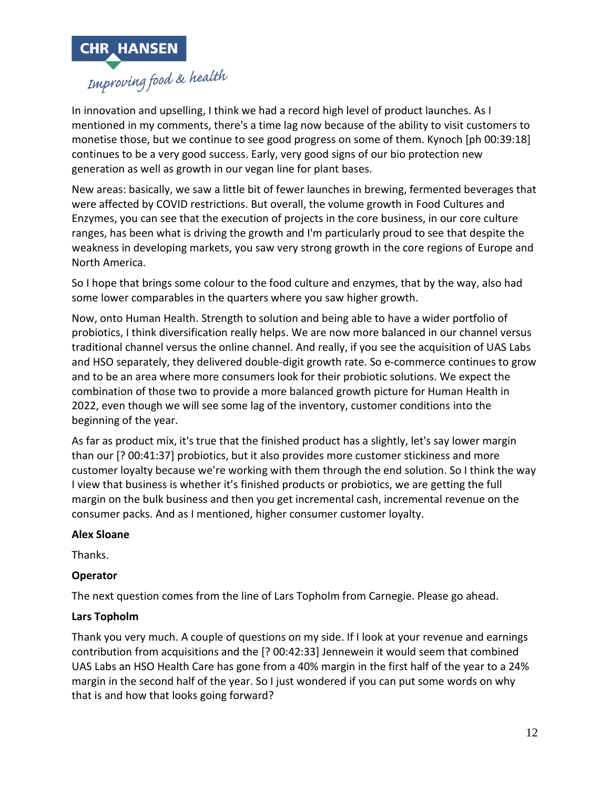

In innovation and upselling, I think we had a record high level of product launches. As I mentioned in my comments, there's a time lag now because of the ability to visit customers to monetise those, but we continue to see good progress on some of them. Kynoch [ph 00:39:18] continues to be a very good success. Early, very good signs of our bio protection new generation as well as growth in our vegan line for plant bases.

New areas: basically, we saw a little bit of fewer launches in brewing, fermented beverages that were affected by COVID restrictions. But overall, the volume growth in Food Cultures and Enzymes, you can see that the execution of projects in the core business, in our core culture ranges, has been what is driving the growth and I'm particularly proud to see that despite the weakness in developing markets, you saw very strong growth in the core regions of Europe and North America.

So I hope that brings some colour to the food culture and enzymes, that by the way, also had some lower comparables in the quarters where you saw higher growth.

Now, onto Human Health. Strength to solution and being able to have a wider portfolio of probiotics, I think diversification really helps. We are now more balanced in our channel versus traditional channel versus the online channel. And really, if you see the acquisition of UAS Labs and HSO separately, they delivered double-digit growth rate. So e-commerce continues to grow and to be an area where more consumers look for their probiotic solutions. We expect the combination of those two to provide a more balanced growth picture for Human Health in 2022, even though we will see some lag of the inventory, customer conditions into the beginning of the year.

As far as product mix, it's true that the finished product has a slightly, let's say lower margin than our [? 00:41:37] probiotics, but it also provides more customer stickiness and more customer loyalty because we're working with them through the end solution. So I think the way I view that business is whether it's finished products or probiotics, we are getting the full margin on the bulk business and then you get incremental cash, incremental revenue on the consumer packs. And as I mentioned, higher consumer customer loyalty.

### **Alex Sloane**

Thanks.

# **Operator**

The next question comes from the line of Lars Topholm from Carnegie. Please go ahead.

# **Lars Topholm**

Thank you very much. A couple of questions on my side. If I look at your revenue and earnings contribution from acquisitions and the [? 00:42:33] Jennewein it would seem that combined UAS Labs an HSO Health Care has gone from a 40% margin in the first half of the year to a 24% margin in the second half of the year. So I just wondered if you can put some words on why that is and how that looks going forward?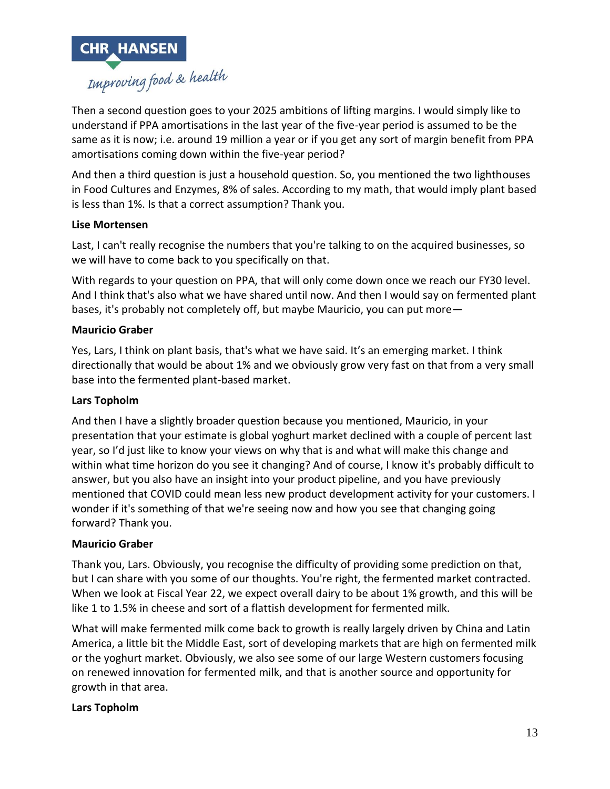

Then a second question goes to your 2025 ambitions of lifting margins. I would simply like to understand if PPA amortisations in the last year of the five-year period is assumed to be the same as it is now; i.e. around 19 million a year or if you get any sort of margin benefit from PPA amortisations coming down within the five-year period?

And then a third question is just a household question. So, you mentioned the two lighthouses in Food Cultures and Enzymes, 8% of sales. According to my math, that would imply plant based is less than 1%. Is that a correct assumption? Thank you.

## **Lise Mortensen**

Last, I can't really recognise the numbers that you're talking to on the acquired businesses, so we will have to come back to you specifically on that.

With regards to your question on PPA, that will only come down once we reach our FY30 level. And I think that's also what we have shared until now. And then I would say on fermented plant bases, it's probably not completely off, but maybe Mauricio, you can put more—

### **Mauricio Graber**

Yes, Lars, I think on plant basis, that's what we have said. It's an emerging market. I think directionally that would be about 1% and we obviously grow very fast on that from a very small base into the fermented plant-based market.

### **Lars Topholm**

And then I have a slightly broader question because you mentioned, Mauricio, in your presentation that your estimate is global yoghurt market declined with a couple of percent last year, so I'd just like to know your views on why that is and what will make this change and within what time horizon do you see it changing? And of course, I know it's probably difficult to answer, but you also have an insight into your product pipeline, and you have previously mentioned that COVID could mean less new product development activity for your customers. I wonder if it's something of that we're seeing now and how you see that changing going forward? Thank you.

### **Mauricio Graber**

Thank you, Lars. Obviously, you recognise the difficulty of providing some prediction on that, but I can share with you some of our thoughts. You're right, the fermented market contracted. When we look at Fiscal Year 22, we expect overall dairy to be about 1% growth, and this will be like 1 to 1.5% in cheese and sort of a flattish development for fermented milk.

What will make fermented milk come back to growth is really largely driven by China and Latin America, a little bit the Middle East, sort of developing markets that are high on fermented milk or the yoghurt market. Obviously, we also see some of our large Western customers focusing on renewed innovation for fermented milk, and that is another source and opportunity for growth in that area.

### **Lars Topholm**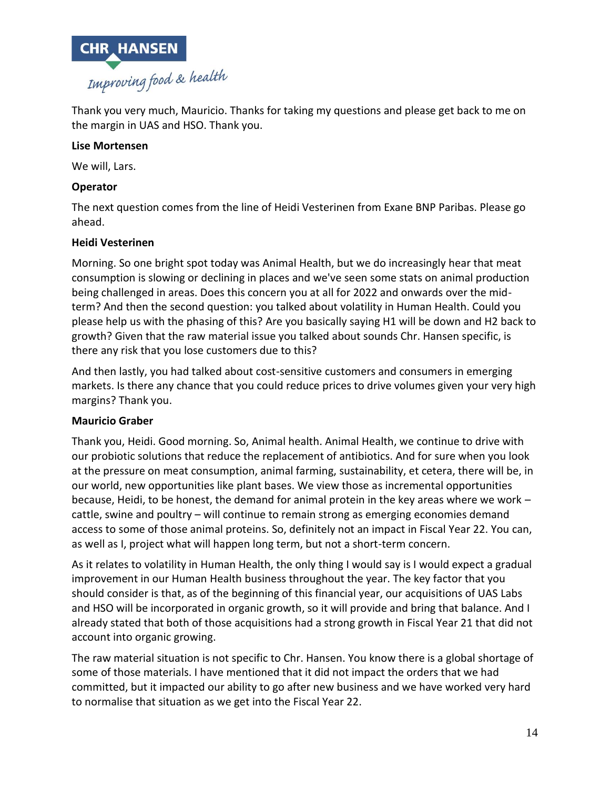

Thank you very much, Mauricio. Thanks for taking my questions and please get back to me on the margin in UAS and HSO. Thank you.

### **Lise Mortensen**

We will, Lars.

## **Operator**

The next question comes from the line of Heidi Vesterinen from Exane BNP Paribas. Please go ahead.

## **Heidi Vesterinen**

Morning. So one bright spot today was Animal Health, but we do increasingly hear that meat consumption is slowing or declining in places and we've seen some stats on animal production being challenged in areas. Does this concern you at all for 2022 and onwards over the midterm? And then the second question: you talked about volatility in Human Health. Could you please help us with the phasing of this? Are you basically saying H1 will be down and H2 back to growth? Given that the raw material issue you talked about sounds Chr. Hansen specific, is there any risk that you lose customers due to this?

And then lastly, you had talked about cost-sensitive customers and consumers in emerging markets. Is there any chance that you could reduce prices to drive volumes given your very high margins? Thank you.

# **Mauricio Graber**

Thank you, Heidi. Good morning. So, Animal health. Animal Health, we continue to drive with our probiotic solutions that reduce the replacement of antibiotics. And for sure when you look at the pressure on meat consumption, animal farming, sustainability, et cetera, there will be, in our world, new opportunities like plant bases. We view those as incremental opportunities because, Heidi, to be honest, the demand for animal protein in the key areas where we work – cattle, swine and poultry – will continue to remain strong as emerging economies demand access to some of those animal proteins. So, definitely not an impact in Fiscal Year 22. You can, as well as I, project what will happen long term, but not a short-term concern.

As it relates to volatility in Human Health, the only thing I would say is I would expect a gradual improvement in our Human Health business throughout the year. The key factor that you should consider is that, as of the beginning of this financial year, our acquisitions of UAS Labs and HSO will be incorporated in organic growth, so it will provide and bring that balance. And I already stated that both of those acquisitions had a strong growth in Fiscal Year 21 that did not account into organic growing.

The raw material situation is not specific to Chr. Hansen. You know there is a global shortage of some of those materials. I have mentioned that it did not impact the orders that we had committed, but it impacted our ability to go after new business and we have worked very hard to normalise that situation as we get into the Fiscal Year 22.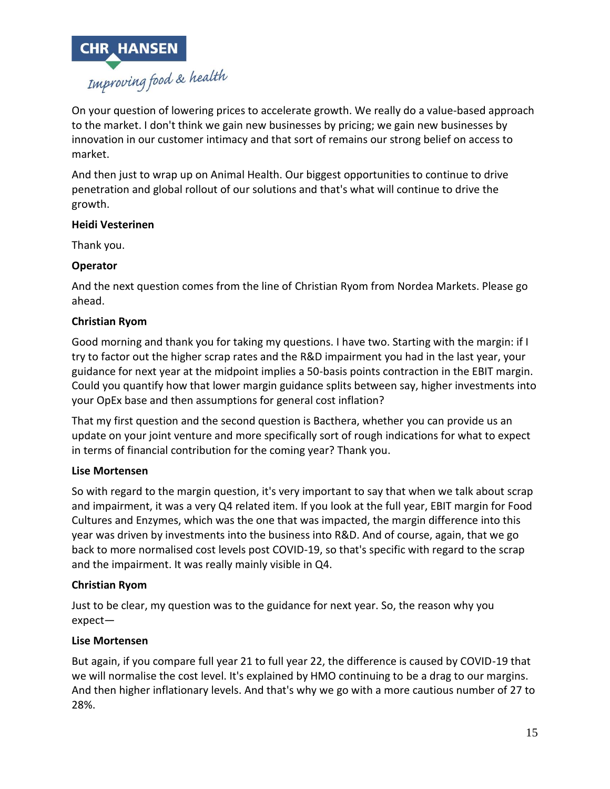

On your question of lowering prices to accelerate growth. We really do a value-based approach to the market. I don't think we gain new businesses by pricing; we gain new businesses by innovation in our customer intimacy and that sort of remains our strong belief on access to market.

And then just to wrap up on Animal Health. Our biggest opportunities to continue to drive penetration and global rollout of our solutions and that's what will continue to drive the growth.

### **Heidi Vesterinen**

Thank you.

# **Operator**

And the next question comes from the line of Christian Ryom from Nordea Markets. Please go ahead.

## **Christian Ryom**

Good morning and thank you for taking my questions. I have two. Starting with the margin: if I try to factor out the higher scrap rates and the R&D impairment you had in the last year, your guidance for next year at the midpoint implies a 50-basis points contraction in the EBIT margin. Could you quantify how that lower margin guidance splits between say, higher investments into your OpEx base and then assumptions for general cost inflation?

That my first question and the second question is Bacthera, whether you can provide us an update on your joint venture and more specifically sort of rough indications for what to expect in terms of financial contribution for the coming year? Thank you.

### **Lise Mortensen**

So with regard to the margin question, it's very important to say that when we talk about scrap and impairment, it was a very Q4 related item. If you look at the full year, EBIT margin for Food Cultures and Enzymes, which was the one that was impacted, the margin difference into this year was driven by investments into the business into R&D. And of course, again, that we go back to more normalised cost levels post COVID-19, so that's specific with regard to the scrap and the impairment. It was really mainly visible in Q4.

### **Christian Ryom**

Just to be clear, my question was to the guidance for next year. So, the reason why you expect—

### **Lise Mortensen**

But again, if you compare full year 21 to full year 22, the difference is caused by COVID-19 that we will normalise the cost level. It's explained by HMO continuing to be a drag to our margins. And then higher inflationary levels. And that's why we go with a more cautious number of 27 to 28%.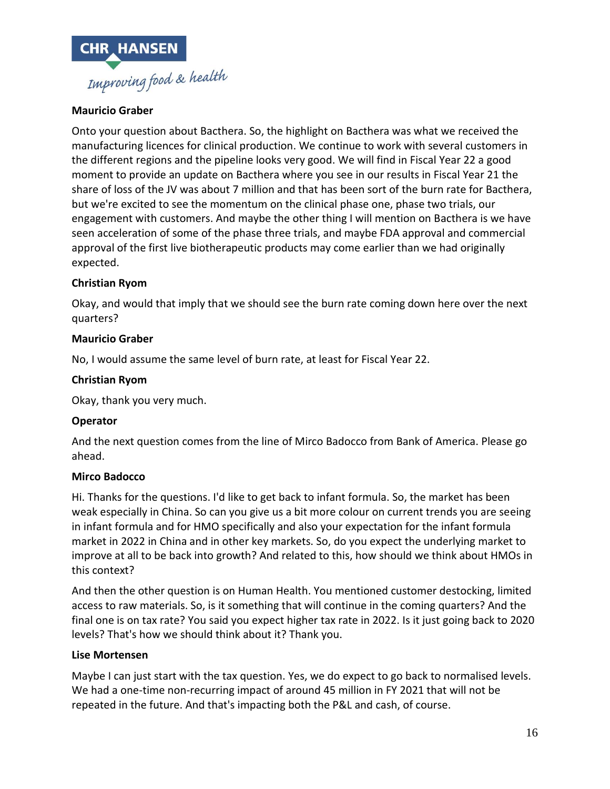

### **Mauricio Graber**

Onto your question about Bacthera. So, the highlight on Bacthera was what we received the manufacturing licences for clinical production. We continue to work with several customers in the different regions and the pipeline looks very good. We will find in Fiscal Year 22 a good moment to provide an update on Bacthera where you see in our results in Fiscal Year 21 the share of loss of the JV was about 7 million and that has been sort of the burn rate for Bacthera, but we're excited to see the momentum on the clinical phase one, phase two trials, our engagement with customers. And maybe the other thing I will mention on Bacthera is we have seen acceleration of some of the phase three trials, and maybe FDA approval and commercial approval of the first live biotherapeutic products may come earlier than we had originally expected.

### **Christian Ryom**

Okay, and would that imply that we should see the burn rate coming down here over the next quarters?

### **Mauricio Graber**

No, I would assume the same level of burn rate, at least for Fiscal Year 22.

### **Christian Ryom**

Okay, thank you very much.

### **Operator**

And the next question comes from the line of Mirco Badocco from Bank of America. Please go ahead.

#### **Mirco Badocco**

Hi. Thanks for the questions. I'd like to get back to infant formula. So, the market has been weak especially in China. So can you give us a bit more colour on current trends you are seeing in infant formula and for HMO specifically and also your expectation for the infant formula market in 2022 in China and in other key markets. So, do you expect the underlying market to improve at all to be back into growth? And related to this, how should we think about HMOs in this context?

And then the other question is on Human Health. You mentioned customer destocking, limited access to raw materials. So, is it something that will continue in the coming quarters? And the final one is on tax rate? You said you expect higher tax rate in 2022. Is it just going back to 2020 levels? That's how we should think about it? Thank you.

### **Lise Mortensen**

Maybe I can just start with the tax question. Yes, we do expect to go back to normalised levels. We had a one-time non-recurring impact of around 45 million in FY 2021 that will not be repeated in the future. And that's impacting both the P&L and cash, of course.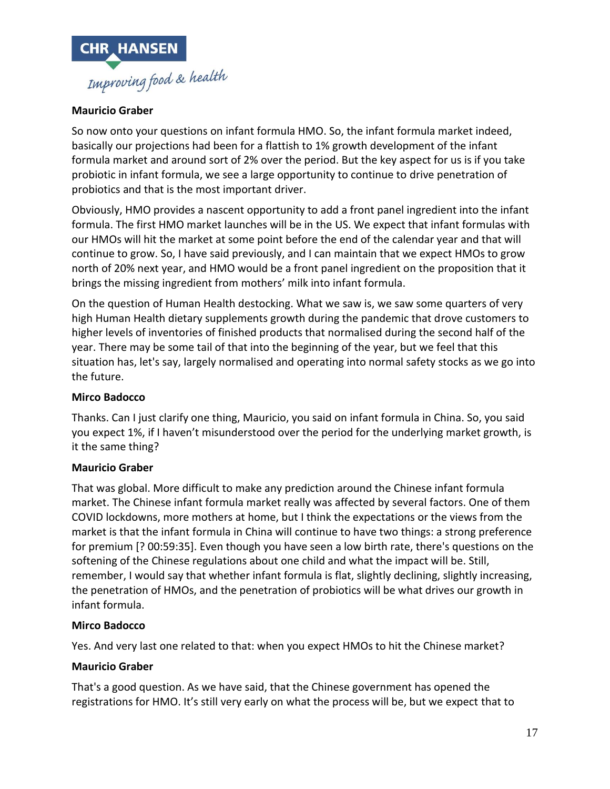

## **Mauricio Graber**

So now onto your questions on infant formula HMO. So, the infant formula market indeed, basically our projections had been for a flattish to 1% growth development of the infant formula market and around sort of 2% over the period. But the key aspect for us is if you take probiotic in infant formula, we see a large opportunity to continue to drive penetration of probiotics and that is the most important driver.

Obviously, HMO provides a nascent opportunity to add a front panel ingredient into the infant formula. The first HMO market launches will be in the US. We expect that infant formulas with our HMOs will hit the market at some point before the end of the calendar year and that will continue to grow. So, I have said previously, and I can maintain that we expect HMOs to grow north of 20% next year, and HMO would be a front panel ingredient on the proposition that it brings the missing ingredient from mothers' milk into infant formula.

On the question of Human Health destocking. What we saw is, we saw some quarters of very high Human Health dietary supplements growth during the pandemic that drove customers to higher levels of inventories of finished products that normalised during the second half of the year. There may be some tail of that into the beginning of the year, but we feel that this situation has, let's say, largely normalised and operating into normal safety stocks as we go into the future.

### **Mirco Badocco**

Thanks. Can I just clarify one thing, Mauricio, you said on infant formula in China. So, you said you expect 1%, if I haven't misunderstood over the period for the underlying market growth, is it the same thing?

### **Mauricio Graber**

That was global. More difficult to make any prediction around the Chinese infant formula market. The Chinese infant formula market really was affected by several factors. One of them COVID lockdowns, more mothers at home, but I think the expectations or the views from the market is that the infant formula in China will continue to have two things: a strong preference for premium [? 00:59:35]. Even though you have seen a low birth rate, there's questions on the softening of the Chinese regulations about one child and what the impact will be. Still, remember, I would say that whether infant formula is flat, slightly declining, slightly increasing, the penetration of HMOs, and the penetration of probiotics will be what drives our growth in infant formula.

### **Mirco Badocco**

Yes. And very last one related to that: when you expect HMOs to hit the Chinese market?

### **Mauricio Graber**

That's a good question. As we have said, that the Chinese government has opened the registrations for HMO. It's still very early on what the process will be, but we expect that to